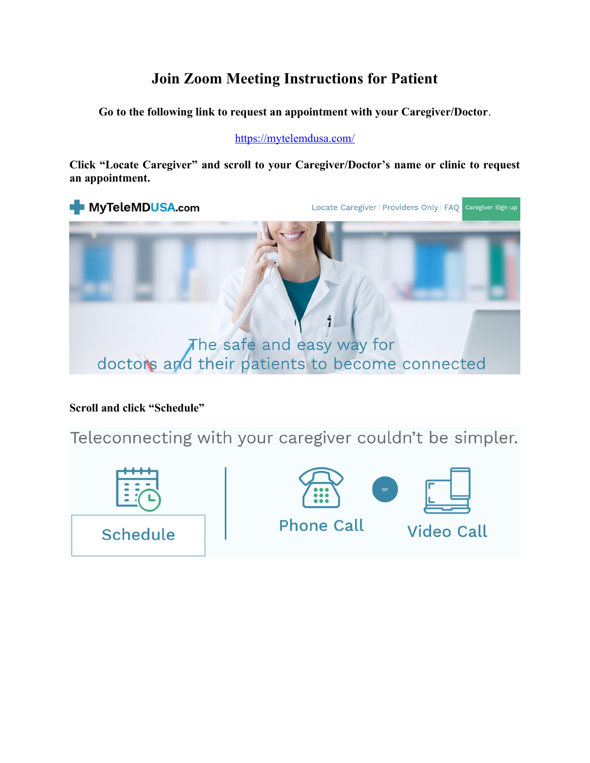## **Join Zoom Meeting Instructions for Patient**

**Go to the following link to request an appointment with your Caregiver/Doctor**.

https://mytelemdusa.com/

**Click "Locate Caregiver" and scroll to your Caregiver/Doctor's name or clinic to request an appointment.** 



**Scroll and click "Schedule"**

Teleconnecting with your caregiver couldn't be simpler.

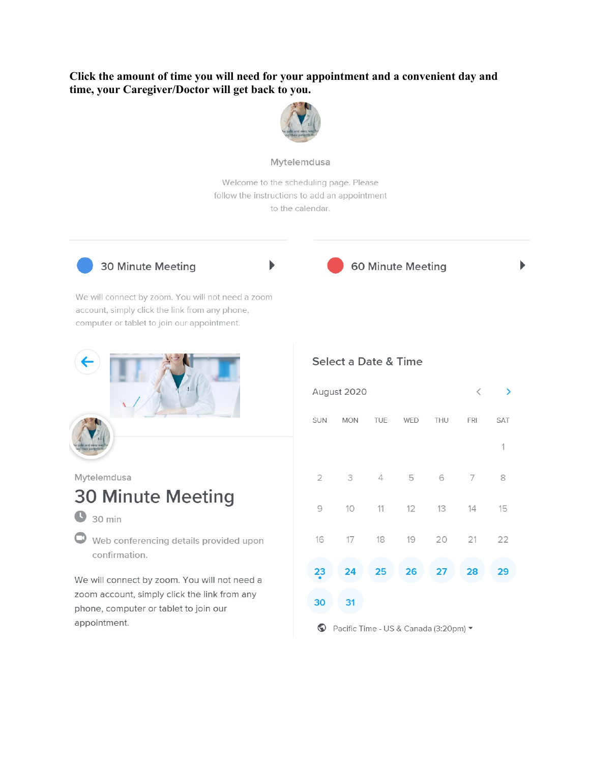### Click the amount of time you will need for your appointment and a convenient day and time, your Caregiver/Doctor will get back to you.



#### Mytelemdusa

Welcome to the scheduling page. Please follow the instructions to add an appointment to the calendar.



30 Minute Meeting



ь

60 Minute Meeting

ь

We will connect by zoom. You will not need a zoom account, simply click the link from any phone, computer or tablet to join our appointment.



Mytelemdusa

# **30 Minute Meeting**

- $\bigcirc$  30 min
- Web conferencing details provided upon confirmation.

We will connect by zoom. You will not need a zoom account, simply click the link from any phone, computer or tablet to join our appointment.

#### Select a Date & Time

| August 2020    |            |                |     |                                                                                                                     | $\,<$ | ⋗           |
|----------------|------------|----------------|-----|---------------------------------------------------------------------------------------------------------------------|-------|-------------|
| SUN            | <b>MON</b> | TUE            | WED | THU                                                                                                                 | FRI   | SAT         |
|                |            |                |     |                                                                                                                     |       | $\mathbf 1$ |
| $\mathbf{2}$   | 3          | $\overline{4}$ | 5   | $\mathsf{G}% _{\mathsf{G}}^{\mathsf{G}}(\mathcal{M}_{0})\cong\mathsf{G}_{\mathsf{G}}^{\mathsf{G}}(\mathcal{M}_{0})$ | 7     | 8           |
| $\mathcal{G}$  | 10         | 11             | 12  | 13                                                                                                                  | 14    | 15          |
| 16             | 17         | 18             | 19  | 20                                                                                                                  | 21    | 22          |
| 2 <sub>3</sub> | 24         | 25             | 26  | 27                                                                                                                  | 28    | 29          |
| 30             | 31         |                |     |                                                                                                                     |       |             |

Pacific Time - US & Canada (3:20pm)  $\blacktriangledown$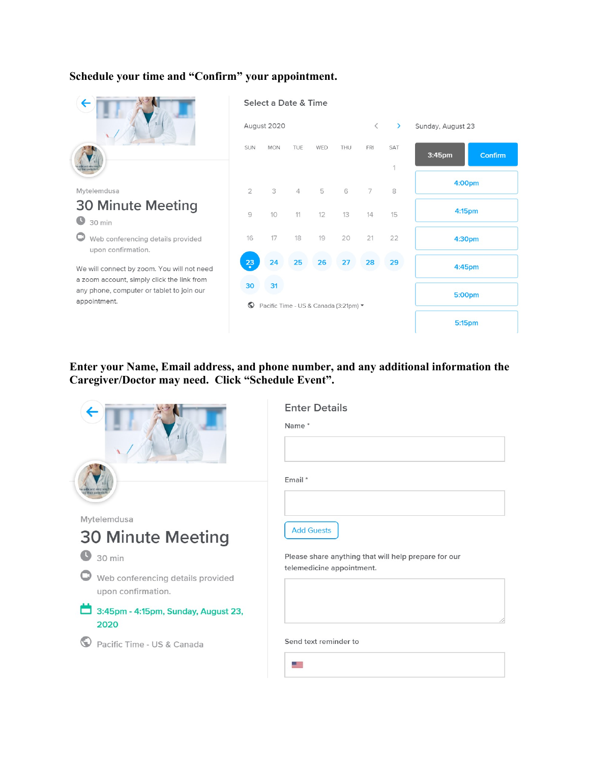#### **Schedule your time and "Confirm" your appointment.**



### **Enter your Name, Email address, and phone number, and any additional information the Caregiver/Doctor may need. Click "Schedule Event".**

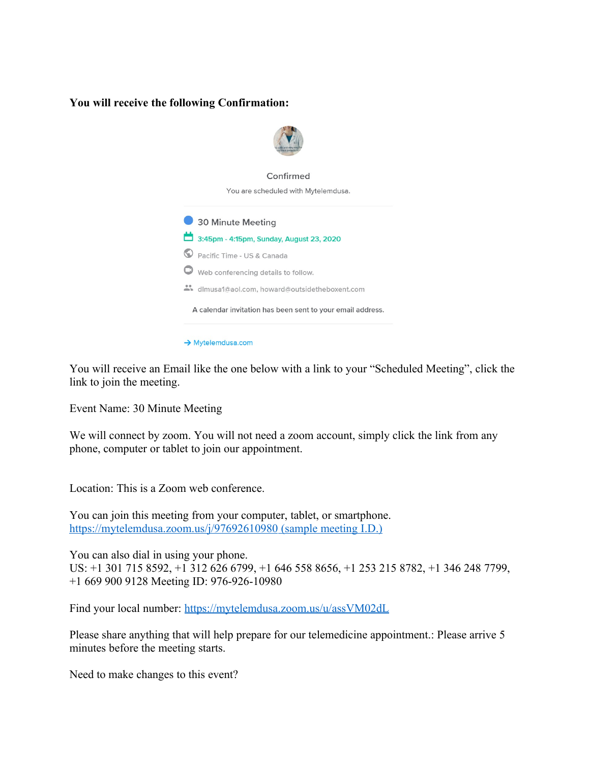#### **You will receive the following Confirmation:**



You will receive an Email like the one below with a link to your "Scheduled Meeting", click the link to join the meeting.

Event Name: 30 Minute Meeting

We will connect by zoom. You will not need a zoom account, simply click the link from any phone, computer or tablet to join our appointment.

Location: This is a Zoom web conference.

You can join this meeting from your computer, tablet, or smartphone. <https://mytelemdusa.zoom.us/j/97692610980>(sample meeting I.D.)

You can also dial in using your phone. US: +1 301 715 8592, +1 312 626 6799, +1 646 558 8656, +1 253 215 8782, +1 346 248 7799, +1 669 900 9128 Meeting ID: 976-926-10980

Find your local number:<https://mytelemdusa.zoom.us/u/assVM02dL>

Please share anything that will help prepare for our telemedicine appointment.: Please arrive 5 minutes before the meeting starts.

Need to make changes to this event?